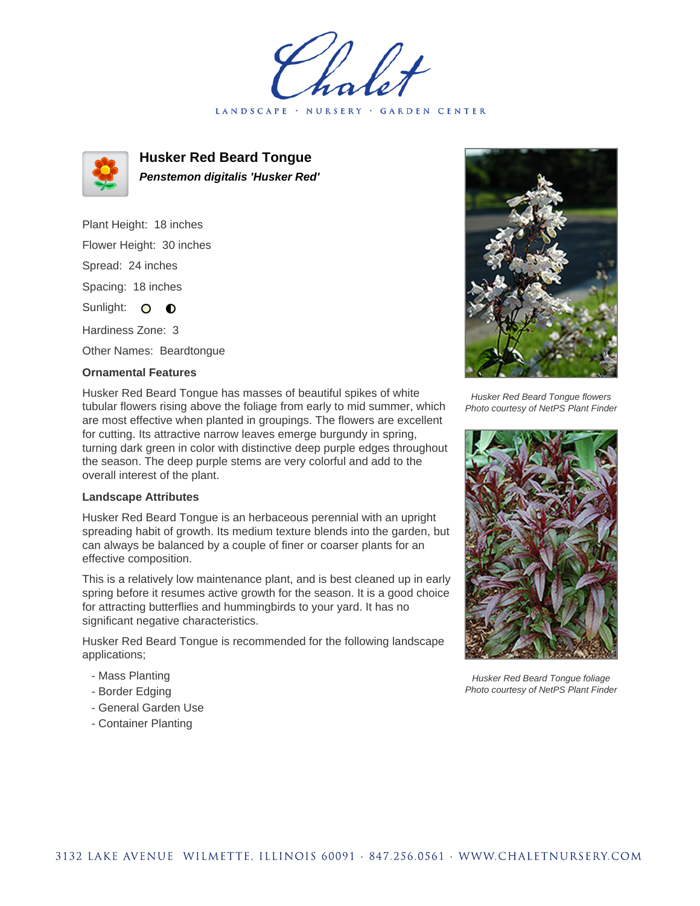holet LANDSCAPE · NURSERY · GARDEN CENTER



**Husker Red Beard Tongue Penstemon digitalis 'Husker Red'**

Plant Height: 18 inches Flower Height: 30 inches Spread: 24 inches Spacing: 18 inches Sunlight: O **O** Hardiness Zone: 3

Other Names: Beardtongue

## **Ornamental Features**

Husker Red Beard Tongue has masses of beautiful spikes of white tubular flowers rising above the foliage from early to mid summer, which are most effective when planted in groupings. The flowers are excellent for cutting. Its attractive narrow leaves emerge burgundy in spring, turning dark green in color with distinctive deep purple edges throughout the season. The deep purple stems are very colorful and add to the overall interest of the plant.

## **Landscape Attributes**

Husker Red Beard Tongue is an herbaceous perennial with an upright spreading habit of growth. Its medium texture blends into the garden, but can always be balanced by a couple of finer or coarser plants for an effective composition.

This is a relatively low maintenance plant, and is best cleaned up in early spring before it resumes active growth for the season. It is a good choice for attracting butterflies and hummingbirds to your yard. It has no significant negative characteristics.

Husker Red Beard Tongue is recommended for the following landscape applications;

- Mass Planting
- Border Edging
- General Garden Use
- Container Planting



Husker Red Beard Tongue flowers Photo courtesy of NetPS Plant Finder



Husker Red Beard Tongue foliage Photo courtesy of NetPS Plant Finder